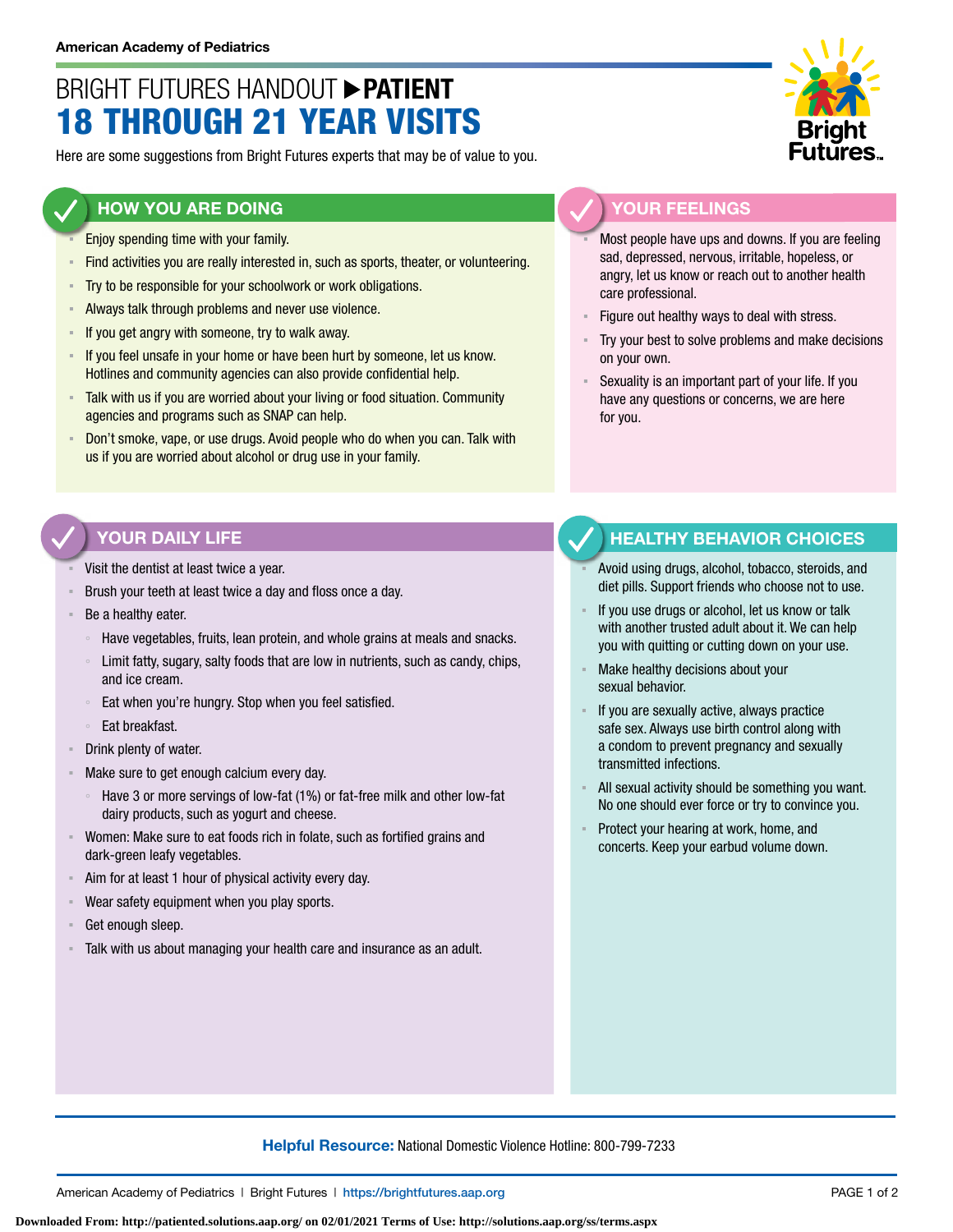# BRIGHT FUTURES HANDOUT **PATIENT** 18 THROUGH 21 YEAR VISITS

Here are some suggestions from Bright Futures experts that may be of value to you.

#### **HOW YOU ARE DOING**

- Enjoy spending time with your family.
- Find activities you are really interested in, such as sports, theater, or volunteering.
- **EXECT:** Try to be responsible for your schoolwork or work obligations.
- **EXED Always talk through problems and never use violence.**
- If you get angry with someone, try to walk away.
- **EXED 15 If you feel unsafe in your home or have been hurt by someone, let us know.** Hotlines and community agencies can also provide confidential help.
- **EXTE Talk with us if you are worried about your living or food situation. Community** agencies and programs such as SNAP can help.
- Don't smoke, vape, or use drugs. Avoid people who do when you can. Talk with us if you are worried about alcohol or drug use in your family.

## **YOUR FEELINGS**

Most people have ups and downs. If you are feeling sad, depressed, nervous, irritable, hopeless, or angry, let us know or reach out to another health care professional.

- Figure out healthy ways to deal with stress.
- Try your best to solve problems and make decisions on your own.
- Sexuality is an important part of your life. If you have any questions or concerns, we are here for you.

#### **YOUR DAILY LIFE**

- Visit the dentist at least twice a year.
- Brush your teeth at least twice a day and floss once a day.
- Be a healthy eater.
	- Have vegetables, fruits, lean protein, and whole grains at meals and snacks.
	- Limit fatty, sugary, salty foods that are low in nutrients, such as candy, chips, and ice cream.
	- Eat when you're hungry. Stop when you feel satisfied.
	- Eat breakfast.
- Drink plenty of water.
- Make sure to get enough calcium every day.
	- Have 3 or more servings of low-fat (1%) or fat-free milk and other low-fat dairy products, such as yogurt and cheese.
- Women: Make sure to eat foods rich in folate, such as fortified grains and dark-green leafy vegetables.
- Aim for at least 1 hour of physical activity every day.
- Wear safety equipment when you play sports.
- Get enough sleep.
- Talk with us about managing your health care and insurance as an adult.

### **HEALTHY BEHAVIOR CHOICES**

- Avoid using drugs, alcohol, tobacco, steroids, and diet pills. Support friends who choose not to use.
- If you use drugs or alcohol, let us know or talk with another trusted adult about it. We can help you with quitting or cutting down on your use.
- Make healthy decisions about your sexual behavior.
- If you are sexually active, always practice safe sex. Always use birth control along with a condom to prevent pregnancy and sexually transmitted infections.
- All sexual activity should be something you want. No one should ever force or try to convince you.
- Protect your hearing at work, home, and concerts. Keep your earbud volume down.

#### **Helpful Resource:** National Domestic Violence Hotline: 800-799-7233